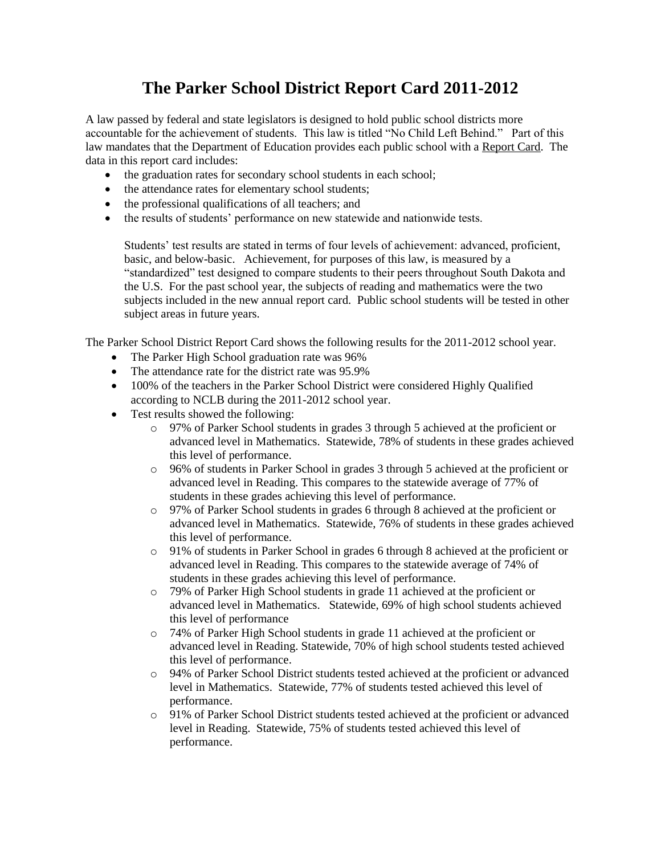## **The Parker School District Report Card 2011-2012**

A law passed by federal and state legislators is designed to hold public school districts more accountable for the achievement of students. This law is titled "No Child Left Behind." Part of this law mandates that the Department of Education provides each public school with a Report Card. The data in this report card includes:

- the graduation rates for secondary school students in each school;
- the attendance rates for elementary school students;
- the professional qualifications of all teachers; and
- the results of students' performance on new statewide and nationwide tests.

Students' test results are stated in terms of four levels of achievement: advanced, proficient, basic, and below-basic. Achievement, for purposes of this law, is measured by a "standardized" test designed to compare students to their peers throughout South Dakota and the U.S. For the past school year, the subjects of reading and mathematics were the two subjects included in the new annual report card. Public school students will be tested in other subject areas in future years.

The Parker School District Report Card shows the following results for the 2011-2012 school year.

- The Parker High School graduation rate was 96%
- The attendance rate for the district rate was 95.9%
- 100% of the teachers in the Parker School District were considered Highly Qualified according to NCLB during the 2011-2012 school year.
- Test results showed the following:
	- o 97% of Parker School students in grades 3 through 5 achieved at the proficient or advanced level in Mathematics. Statewide, 78% of students in these grades achieved this level of performance.
	- o 96% of students in Parker School in grades 3 through 5 achieved at the proficient or advanced level in Reading. This compares to the statewide average of 77% of students in these grades achieving this level of performance.
	- o 97% of Parker School students in grades 6 through 8 achieved at the proficient or advanced level in Mathematics. Statewide, 76% of students in these grades achieved this level of performance.
	- o 91% of students in Parker School in grades 6 through 8 achieved at the proficient or advanced level in Reading. This compares to the statewide average of 74% of students in these grades achieving this level of performance.
	- o 79% of Parker High School students in grade 11 achieved at the proficient or advanced level in Mathematics. Statewide, 69% of high school students achieved this level of performance
	- o 74% of Parker High School students in grade 11 achieved at the proficient or advanced level in Reading. Statewide, 70% of high school students tested achieved this level of performance.
	- o 94% of Parker School District students tested achieved at the proficient or advanced level in Mathematics. Statewide, 77% of students tested achieved this level of performance.
	- o 91% of Parker School District students tested achieved at the proficient or advanced level in Reading. Statewide, 75% of students tested achieved this level of performance.